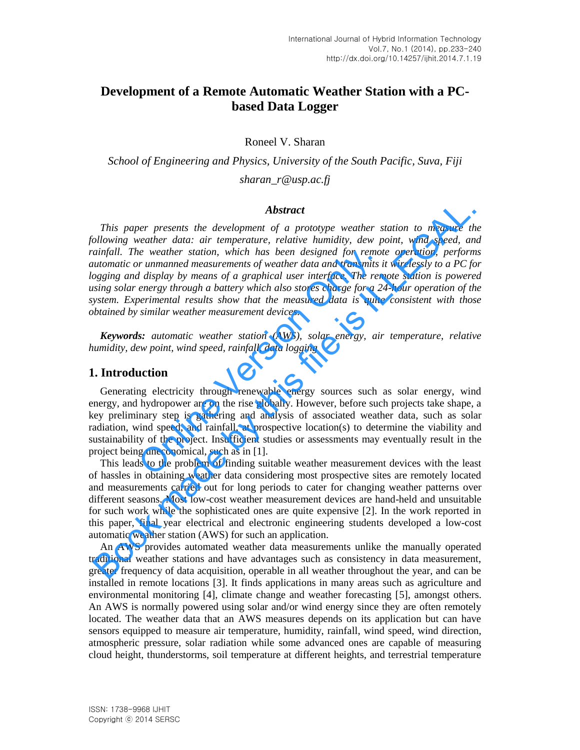# **Development of a Remote Automatic Weather Station with a PCbased Data Logger**

Roneel V. Sharan

*School of Engineering and Physics, University of the South Pacific, Suva, Fiji sharan\_r@usp.ac.fj* 

#### *Abstract*

*This paper presents the development of a prototype weather station to measure the following weather data: air temperature, relative humidity, dew point, wind speed, and rainfall. The weather station, which has been designed for remote operation, performs automatic or unmanned measurements of weather data and transmits it wirelessly to a PC for logging and display by means of a graphical user interface. The remote station is powered using solar energy through a battery which also stores charge for a 24-hour operation of the system. Experimental results show that the measured data is quite consistent with those obtained by similar weather measurement devices.*  **Abstract**<br>**Abstract**<br>**Abstract**<br>**Book made a station** and the development of a prototype weather station to measure the<br>bilowing weather data: air temperature, relative humidity, dew point, wind speed, a<br>atinfall. The we

*Keywords: automatic weather station (AWS), solar energy, air temperature, relative humidity, dew point, wind speed, rainfall, data logging* 

#### **1. Introduction**

Generating electricity through renewable energy sources such as solar energy, wind energy, and hydropower are on the rise globally. However, before such projects take shape, a key preliminary step is gathering and analysis of associated weather data, such as solar radiation, wind speed, and rainfall, at prospective location(s) to determine the viability and sustainability of the project. Insufficient studies or assessments may eventually result in the project being uneconomical, such as in [1]. is a weather station, which has been designed for remoted that the measurements of weather data and transmits if display by means of a graphical user interface. The rent energy through a battery which also stores charge fo

This leads to the problem of finding suitable weather measurement devices with the least of hassles in obtaining weather data considering most prospective sites are remotely located and measurements carried out for long periods to cater for changing weather patterns over different seasons. Most low-cost weather measurement devices are hand-held and unsuitable for such work while the sophisticated ones are quite expensive [2]. In the work reported in this paper, final year electrical and electronic engineering students developed a low-cost automatic weather station (AWS) for such an application.

An AWS provides automated weather data measurements unlike the manually operated traditional weather stations and have advantages such as consistency in data measurement, greater frequency of data acquisition, operable in all weather throughout the year, and can be installed in remote locations [3]. It finds applications in many areas such as agriculture and environmental monitoring [4], climate change and weather forecasting [5], amongst others. An AWS is normally powered using solar and/or wind energy since they are often remotely located. The weather data that an AWS measures depends on its application but can have sensors equipped to measure air temperature, humidity, rainfall, wind speed, wind direction, atmospheric pressure, solar radiation while some advanced ones are capable of measuring cloud height, thunderstorms, soil temperature at different heights, and terrestrial temperature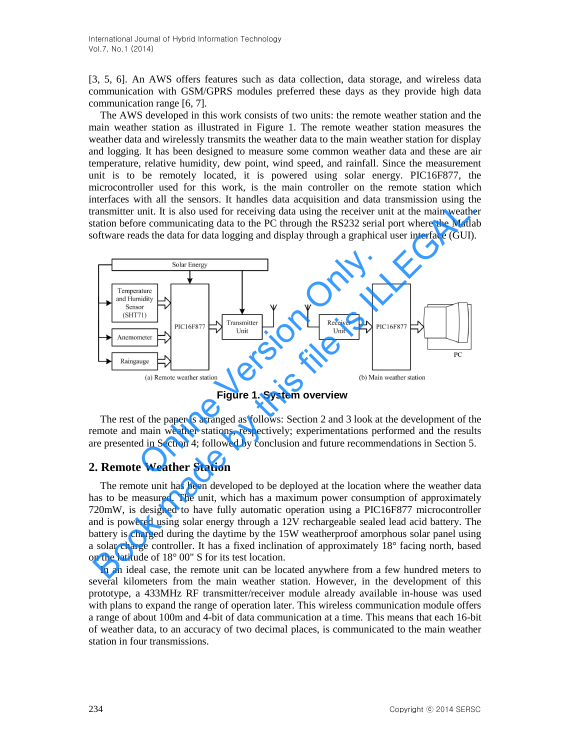[3, 5, 6]. An AWS offers features such as data collection, data storage, and wireless data communication with GSM/GPRS modules preferred these days as they provide high data communication range [6, 7].

The AWS developed in this work consists of two units: the remote weather station and the main weather station as illustrated in Figure 1. The remote weather station measures the weather data and wirelessly transmits the weather data to the main weather station for display and logging. It has been designed to measure some common weather data and these are air temperature, relative humidity, dew point, wind speed, and rainfall. Since the measurement unit is to be remotely located, it is powered using solar energy. PIC16F877, the microcontroller used for this work, is the main controller on the remote station which interfaces with all the sensors. It handles data acquisition and data transmission using the transmitter unit. It is also used for receiving data using the receiver unit at the main weather station before communicating data to the PC through the RS232 serial port where the Matlab software reads the data for data logging and display through a graphical user interface (GUI).



**Figure 1. System overview** 

The rest of the paper is arranged as follows: Section 2 and 3 look at the development of the remote and main weather stations, respectively; experimentations performed and the results are presented in Section 4; followed by conclusion and future recommendations in Section 5.

### **2. Remote Weather Station**

The remote unit has been developed to be deployed at the location where the weather data has to be measured. The unit, which has a maximum power consumption of approximately 720mW, is designed to have fully automatic operation using a PIC16F877 microcontroller and is powered using solar energy through a 12V rechargeable sealed lead acid battery. The battery is charged during the daytime by the 15W weatherproof amorphous solar panel using a solar charge controller. It has a fixed inclination of approximately 18° facing north, based on the latitude of 18° 00" S for its test location.

In an ideal case, the remote unit can be located anywhere from a few hundred meters to several kilometers from the main weather station. However, in the development of this prototype, a 433MHz RF transmitter/receiver module already available in-house was used with plans to expand the range of operation later. This wireless communication module offers a range of about 100m and 4-bit of data communication at a time. This means that each 16-bit of weather data, to an accuracy of two decimal places, is communicated to the main weather station in four transmissions.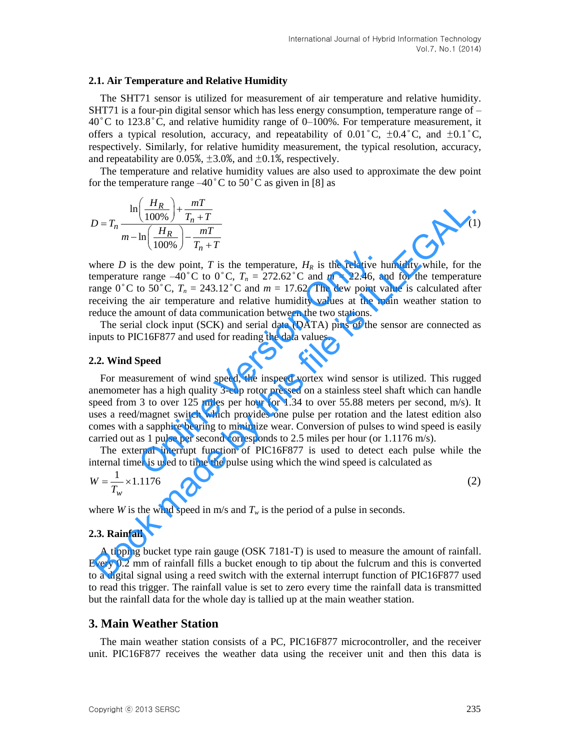#### **2.1. Air Temperature and Relative Humidity**

The SHT71 sensor is utilized for measurement of air temperature and relative humidity. SHT71 is a four-pin digital sensor which has less energy consumption, temperature range of  $40^{\circ}$ C to 123.8<sup>°</sup>C, and relative humidity range of 0–100%. For temperature measurement, it offers a typical resolution, accuracy, and repeatability of  $0.01^{\circ}$ C,  $\pm 0.4^{\circ}$ C, and  $\pm 0.1^{\circ}$ C, respectively. Similarly, for relative humidity measurement, the typical resolution, accuracy, and repeatability are 0.05%,  $\pm 3.0$ %, and  $\pm 0.1$ %, respectively.

The temperature and relative humidity values are also used to approximate the dew point for the temperature range  $-40^{\circ}$ C to  $50^{\circ}$ C as given in [8] as

$$
D = T_n \frac{\ln\left(\frac{H_R}{100\%}\right) + \frac{mT}{T_n + T}}{m - \ln\left(\frac{H_R}{100\%}\right) - \frac{mT}{T_n + T}}
$$
(1)

where  $D$  is the dew point,  $T$  is the temperature,  $H_R$  is the relative humidity while, for the temperature range  $-40^{\circ}$ C to  $0^{\circ}$ C,  $T_n = 272.62^{\circ}$ C and  $m = 22.46$ , and for the temperature range  $0^{\circ}$ C to 50<sup>°</sup>C,  $T_n = 243.12^{\circ}$ C and  $m = 17.62$ . The dew point value is calculated after receiving the air temperature and relative humidity values at the main weather station to reduce the amount of data communication between the two stations.

The serial clock input (SCK) and serial data (DATA) pins of the sensor are connected as inputs to PIC16F877 and used for reading the data values.

#### **2.2. Wind Speed**

For measurement of wind speed, the inspeed vortex wind sensor is utilized. This rugged anemometer has a high quality 3-cup rotor pressed on a stainless steel shaft which can handle speed from 3 to over 125 miles per hour (or 1.34 to over 55.88 meters per second, m/s). It uses a reed/magnet switch which provides one pulse per rotation and the latest edition also comes with a sapphire bearing to minimize wear. Conversion of pulses to wind speed is easily carried out as 1 pulse per second corresponds to 2.5 miles per hour (or 1.1176 m/s). the dew point, *T* is the temperature,  $H_R$  is the relative be range  $-40^{\circ}$ C to 0<sup>°</sup>C,  $T_n = 272.62^{\circ}$ C and  $m = 22.46$ , a to 50<sup>°</sup>C,  $T_n = 243.12^{\circ}$ C and  $m = 17.62$ . The dew point v ea air temperature and relative hu  $D = T_n \frac{\ln\left(\frac{H_R}{100\%}\right) + \frac{mI}{T_n + T}}{m - \ln\left(\frac{H_R}{100\%}\right) + \frac{mI}{T_n + T}}$  (1)<br>
where *D* is the dew point, *T* is the relative to the dimensione emperature range -40° C to 0° C,  $T_n = 272.62$ °C and  $m = 22.46$ , and for the te

The external interrupt function of PIC16F877 is used to detect each pulse while the internal timer is used to time the pulse using which the wind speed is calculated as

$$
W = \frac{1}{T_w} \times 1.1176
$$
 (2)

where *W* is the wind speed in m/s and  $T_w$  is the period of a pulse in seconds.

#### **2.3. Rainfall**

A tipping bucket type rain gauge (OSK 7181-T) is used to measure the amount of rainfall. Every 0.2 mm of rainfall fills a bucket enough to tip about the fulcrum and this is converted to a digital signal using a reed switch with the external interrupt function of PIC16F877 used to read this trigger. The rainfall value is set to zero every time the rainfall data is transmitted but the rainfall data for the whole day is tallied up at the main weather station.

#### **3. Main Weather Station**

The main weather station consists of a PC, PIC16F877 microcontroller, and the receiver unit. PIC16F877 receives the weather data using the receiver unit and then this data is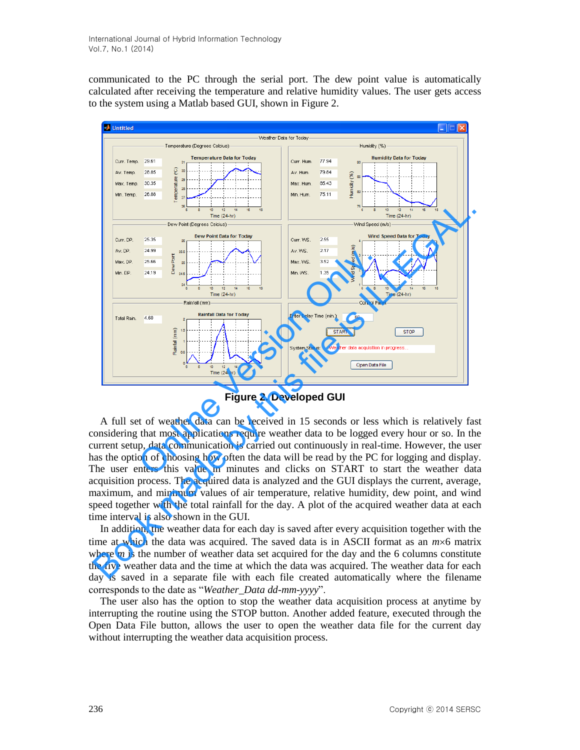communicated to the PC through the serial port. The dew point value is automatically calculated after receiving the temperature and relative humidity values. The user gets access to the system using a Matlab based GUI, shown in Figure 2.



**Figure 2. Developed GUI** 

A full set of weather data can be received in 15 seconds or less which is relatively fast considering that most applications require weather data to be logged every hour or so. In the current setup, data communication is carried out continuously in real-time. However, the user has the option of choosing how often the data will be read by the PC for logging and display. The user enters this value in minutes and clicks on START to start the weather data acquisition process. The acquired data is analyzed and the GUI displays the current, average, maximum, and minimum values of air temperature, relative humidity, dew point, and wind speed together with the total rainfall for the day. A plot of the acquired weather data at each time interval is also shown in the GUI.

In addition, the weather data for each day is saved after every acquisition together with the time at which the data was acquired. The saved data is in ASCII format as an  $m \times 6$  matrix where  $m$  is the number of weather data set acquired for the day and the 6 columns constitute the five weather data and the time at which the data was acquired. The weather data for each day is saved in a separate file with each file created automatically where the filename corresponds to the date as "*Weather\_Data dd-mm-yyyy*".

The user also has the option to stop the weather data acquisition process at anytime by interrupting the routine using the STOP button. Another added feature, executed through the Open Data File button, allows the user to open the weather data file for the current day without interrupting the weather data acquisition process.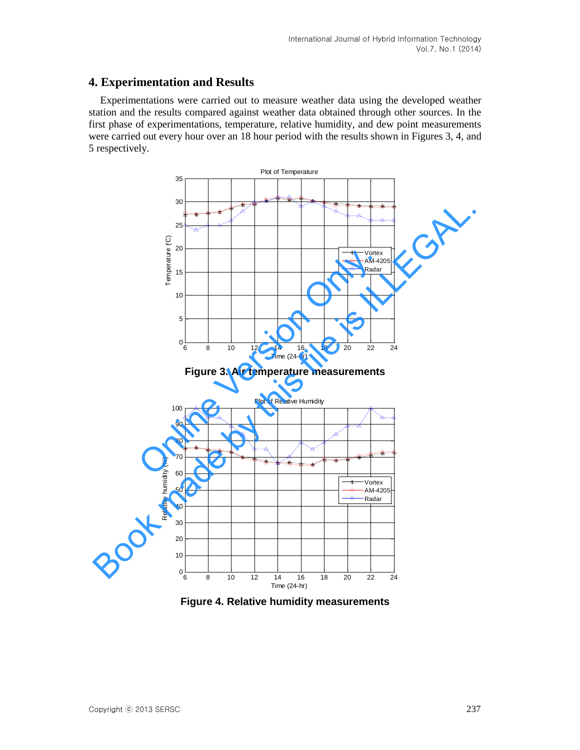## **4. Experimentation and Results**

Experimentations were carried out to measure weather data using the developed weather station and the results compared against weather data obtained through other sources. In the first phase of experimentations, temperature, relative humidity, and dew point measurements were carried out every hour over an 18 hour period with the results shown in Figures 3, 4, and 5 respectively.







**Figure 4. Relative humidity measurements**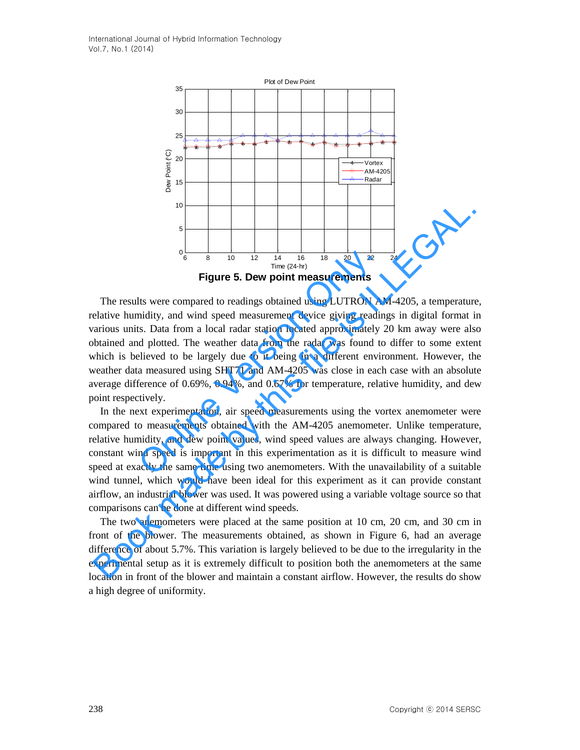

The results were compared to readings obtained using LUTRON AM-4205, a temperature, relative humidity, and wind speed measurement device giving readings in digital format in various units. Data from a local radar station located approximately 20 km away were also obtained and plotted. The weather data from the radar was found to differ to some extent which is believed to be largely due to it being in a different environment. However, the weather data measured using SHT71 and AM-4205 was close in each case with an absolute average difference of 0.69%, 0.94%, and 0.67% for temperature, relative humidity, and dew point respectively. <sup>0</sup><sup>6</sup><sup>8</sup><sup>8</sup><sup>10</sup><sup>12</sup><sup>14</sup><sup>16</sup><sup>18</sup><sup>12</sup><sup>2</sup><sup>2</sup><sup>2</sup><sup>2</sup><sup>2</sup><sup>2</sup><sup>2</sup><br> **Figure 5. Dew point measurements**<br>
tis were compared to readings obtained using LUTRON All<br>
indity, and wind speed measurement device giving reading<br>
is. Data fr <sup>16</sup><br>
<sup>8</sup><br>
<sup>8</sup><br> **Eigure 5. Dew point measurements**<br> **Eigure 5. Dew point measurements**<br> **Eigure 5. Dew point measurements**<br> **Eigure 5. Dew point measurements**<br> **Eigure 5. Dew point measurements**<br> **Eigure 5. Dew point meas** 

In the next experimentation, air speed measurements using the vortex anemometer were compared to measurements obtained with the AM-4205 anemometer. Unlike temperature, relative humidity, and dew point values, wind speed values are always changing. However, constant wind speed is important in this experimentation as it is difficult to measure wind speed at exactly the same time using two anemometers. With the unavailability of a suitable wind tunnel, which would have been ideal for this experiment as it can provide constant airflow, an industrial blower was used. It was powered using a variable voltage source so that comparisons can be done at different wind speeds.

The two anemometers were placed at the same position at 10 cm, 20 cm, and 30 cm in front of the blower. The measurements obtained, as shown in Figure 6, had an average difference of about 5.7%. This variation is largely believed to be due to the irregularity in the experimental setup as it is extremely difficult to position both the anemometers at the same location in front of the blower and maintain a constant airflow. However, the results do show a high degree of uniformity.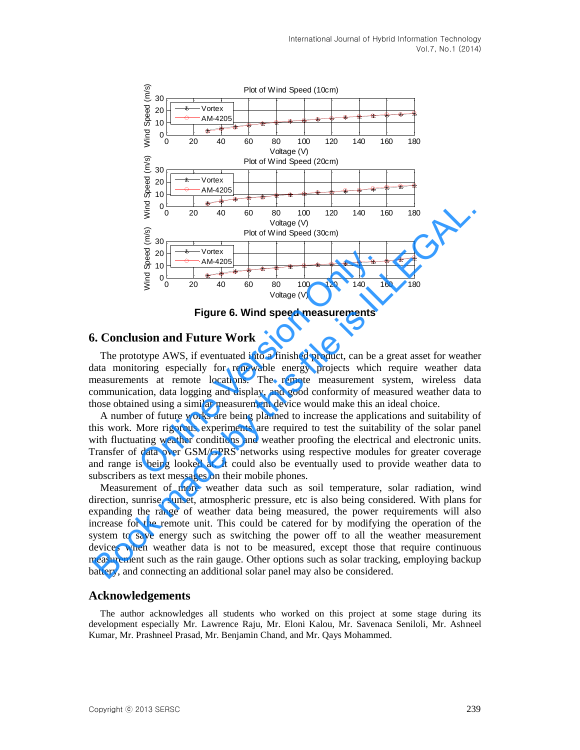

**Figure 6. Wind speed measurements** 

#### **6. Conclusion and Future Work**

The prototype AWS, if eventuated into a finished product, can be a great asset for weather data monitoring especially for renewable energy projects which require weather data measurements at remote locations. The remote measurement system, wireless data communication, data logging and display, and good conformity of measured weather data to those obtained using a similar measurement device would make this an ideal choice.

A number of future works are being planned to increase the applications and suitability of this work. More rigorous experiments are required to test the suitability of the solar panel with fluctuating weather conditions and weather proofing the electrical and electronic units. Transfer of data over GSM/GPRS networks using respective modules for greater coverage and range is being looked at. It could also be eventually used to provide weather data to subscribers as text messages on their mobile phones.  $\frac{20}{60}$  The Vortex<br>  $\frac{20}{30}$  The Contex<br>  $\frac{20}{30}$  The Contex<br>  $\frac{20}{30}$  The Contex<br>  $\frac{20}{30}$  The Contex<br>
Signal only and South Speed measurements<br>
Signal The Vortex<br>
Signal Only and Speed measurements<br>
Sign

Measurement of more weather data such as soil temperature, solar radiation, wind direction, sunrise, sunset, atmospheric pressure, etc is also being considered. With plans for expanding the range of weather data being measured, the power requirements will also increase for the remote unit. This could be catered for by modifying the operation of the system to save energy such as switching the power off to all the weather measurement devices when weather data is not to be measured, except those that require continuous measurement such as the rain gauge. Other options such as solar tracking, employing backup battery, and connecting an additional solar panel may also be considered. Book made by this file is ILLEGAL.

#### **Acknowledgements**

The author acknowledges all students who worked on this project at some stage during its development especially Mr. Lawrence Raju, Mr. Eloni Kalou, Mr. Savenaca Seniloli, Mr. Ashneel Kumar, Mr. Prashneel Prasad, Mr. Benjamin Chand, and Mr. Qays Mohammed.